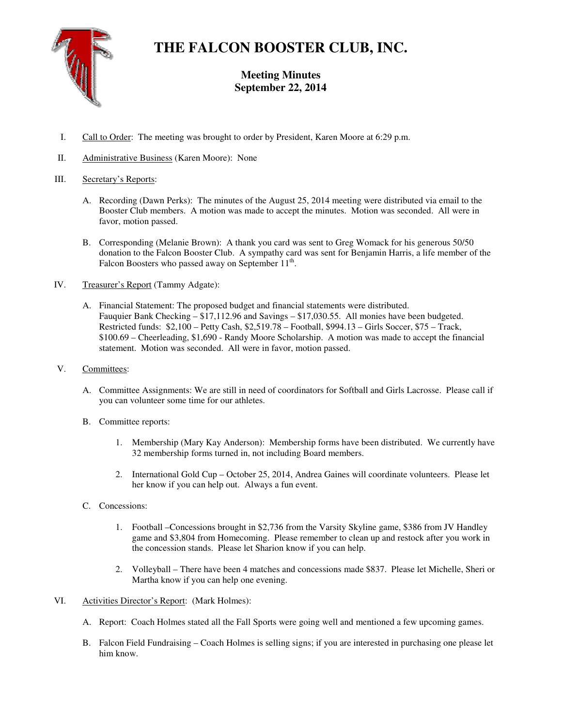

# **THE FALCON BOOSTER CLUB, INC.**

## **Meeting Minutes September 22, 2014**

- I. Call to Order: The meeting was brought to order by President, Karen Moore at 6:29 p.m.
- II. Administrative Business (Karen Moore): None

### III. Secretary's Reports:

- A. Recording (Dawn Perks): The minutes of the August 25, 2014 meeting were distributed via email to the Booster Club members. A motion was made to accept the minutes. Motion was seconded. All were in favor, motion passed.
- B. Corresponding (Melanie Brown): A thank you card was sent to Greg Womack for his generous 50/50 donation to the Falcon Booster Club. A sympathy card was sent for Benjamin Harris, a life member of the Falcon Boosters who passed away on September  $11<sup>th</sup>$ .
- IV. Treasurer's Report (Tammy Adgate):
	- A. Financial Statement: The proposed budget and financial statements were distributed. Fauquier Bank Checking – \$17,112.96 and Savings – \$17,030.55. All monies have been budgeted. Restricted funds: \$2,100 – Petty Cash, \$2,519.78 – Football, \$994.13 – Girls Soccer, \$75 – Track, \$100.69 – Cheerleading, \$1,690 - Randy Moore Scholarship. A motion was made to accept the financial statement. Motion was seconded. All were in favor, motion passed.
- V. Committees:
	- A. Committee Assignments: We are still in need of coordinators for Softball and Girls Lacrosse. Please call if you can volunteer some time for our athletes.
	- B. Committee reports:
		- 1. Membership (Mary Kay Anderson): Membership forms have been distributed. We currently have 32 membership forms turned in, not including Board members.
		- 2. International Gold Cup October 25, 2014, Andrea Gaines will coordinate volunteers. Please let her know if you can help out. Always a fun event.
	- C. Concessions:
		- 1. Football –Concessions brought in \$2,736 from the Varsity Skyline game, \$386 from JV Handley game and \$3,804 from Homecoming. Please remember to clean up and restock after you work in the concession stands. Please let Sharion know if you can help.
		- 2. Volleyball There have been 4 matches and concessions made \$837. Please let Michelle, Sheri or Martha know if you can help one evening.
- VI. Activities Director's Report: (Mark Holmes):
	- A. Report: Coach Holmes stated all the Fall Sports were going well and mentioned a few upcoming games.
	- B. Falcon Field Fundraising Coach Holmes is selling signs; if you are interested in purchasing one please let him know.